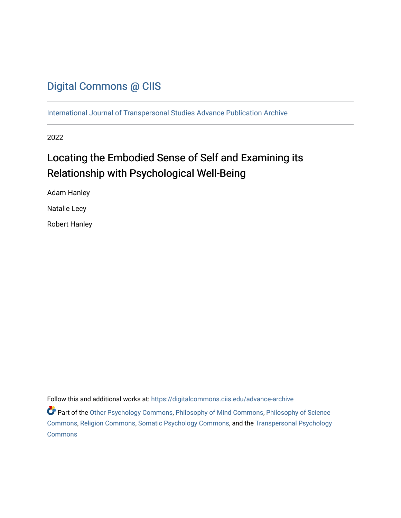## [Digital Commons @ CIIS](https://digitalcommons.ciis.edu/)

[International Journal of Transpersonal Studies Advance Publication Archive](https://digitalcommons.ciis.edu/advance-archive)

2022

# Locating the Embodied Sense of Self and Examining its Relationship with Psychological Well-Being

Adam Hanley Natalie Lecy

Robert Hanley

Follow this and additional works at: [https://digitalcommons.ciis.edu/advance-archive](https://digitalcommons.ciis.edu/advance-archive?utm_source=digitalcommons.ciis.edu%2Fadvance-archive%2F33&utm_medium=PDF&utm_campaign=PDFCoverPages)

Part of the [Other Psychology Commons,](http://network.bepress.com/hgg/discipline/415?utm_source=digitalcommons.ciis.edu%2Fadvance-archive%2F33&utm_medium=PDF&utm_campaign=PDFCoverPages) [Philosophy of Mind Commons](http://network.bepress.com/hgg/discipline/535?utm_source=digitalcommons.ciis.edu%2Fadvance-archive%2F33&utm_medium=PDF&utm_campaign=PDFCoverPages), [Philosophy of Science](http://network.bepress.com/hgg/discipline/536?utm_source=digitalcommons.ciis.edu%2Fadvance-archive%2F33&utm_medium=PDF&utm_campaign=PDFCoverPages)  [Commons](http://network.bepress.com/hgg/discipline/536?utm_source=digitalcommons.ciis.edu%2Fadvance-archive%2F33&utm_medium=PDF&utm_campaign=PDFCoverPages), [Religion Commons,](http://network.bepress.com/hgg/discipline/538?utm_source=digitalcommons.ciis.edu%2Fadvance-archive%2F33&utm_medium=PDF&utm_campaign=PDFCoverPages) [Somatic Psychology Commons](http://network.bepress.com/hgg/discipline/1431?utm_source=digitalcommons.ciis.edu%2Fadvance-archive%2F33&utm_medium=PDF&utm_campaign=PDFCoverPages), and the [Transpersonal Psychology](http://network.bepress.com/hgg/discipline/1388?utm_source=digitalcommons.ciis.edu%2Fadvance-archive%2F33&utm_medium=PDF&utm_campaign=PDFCoverPages) [Commons](http://network.bepress.com/hgg/discipline/1388?utm_source=digitalcommons.ciis.edu%2Fadvance-archive%2F33&utm_medium=PDF&utm_campaign=PDFCoverPages)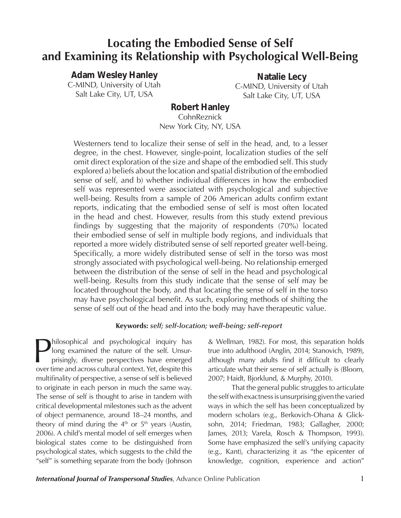## **Locating the Embodied Sense of Self and Examining its Relationship with Psychological Well-Being**

## *Adam Wesley Hanley*

C-MIND, University of Utah Salt Lake City, UT, USA

*Natalie Lecy* C-MIND, University of Utah Salt Lake City, UT, USA

#### *Robert Hanley* **CohnReznick**

New York City, NY, USA

Westerners tend to localize their sense of self in the head, and, to a lesser degree, in the chest. However, single-point, localization studies of the self omit direct exploration of the size and shape of the embodied self. This study explored a) beliefs about the location and spatial distribution of the embodied sense of self, and b) whether individual differences in how the embodied self was represented were associated with psychological and subjective well-being. Results from a sample of 206 American adults confirm extant reports, indicating that the embodied sense of self is most often located in the head and chest. However, results from this study extend previous findings by suggesting that the majority of respondents (70%) located their embodied sense of self in multiple body regions, and individuals that reported a more widely distributed sense of self reported greater well-being. Specifically, a more widely distributed sense of self in the torso was most strongly associated with psychological well-being. No relationship emerged between the distribution of the sense of self in the head and psychological well-being. Results from this study indicate that the sense of self may be located throughout the body, and that locating the sense of self in the torso may have psychological benefit. As such, exploring methods of shifting the sense of self out of the head and into the body may have therapeutic value.

### **Keywords:** *self; self-location; well-being; self-report*

hilosophical and psychological inquiry has long examined the nature of the self. Unsurprisingly, diverse perspectives have emerged over time and across cultural context. Yet, despite this multifinality of perspective, a sense of self is believed to originate in each person in much the same way. The sense of self is thought to arise in tandem with critical developmental milestones such as the advent of object permanence, around 18–24 months, and theory of mind during the  $4<sup>th</sup>$  or  $5<sup>th</sup>$  years (Austin, 2006). A child's mental model of self emerges when biological states come to be distinguished from psychological states, which suggests to the child the "self" is something separate from the body (Johnson

& Wellman, 1982). For most, this separation holds true into adulthood (Anglin, 2014; Stanovich, 1989), although many adults find it difficult to clearly articulate what their sense of self actually is (Bloom, 2007; Haidt, Bjorklund, & Murphy, 2010).

That the general public struggles to articulate the self with exactness is unsurprising given the varied ways in which the self has been conceptualized by modern scholars (e.g., Berkovich-Ohana & Glicksohn, 2014; Friedman, 1983; Gallagher, 2000; James, 2013; Varela, Rosch & Thompson, 1993). Some have emphasized the self's unifying capacity (e.g., Kant), characterizing it as "the epicenter of knowledge, cognition, experience and action"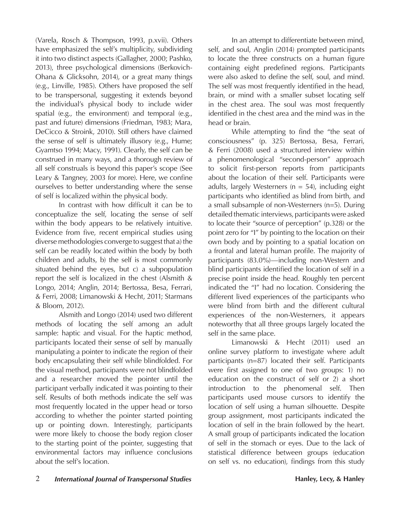(Varela, Rosch & Thompson, 1993, p.xvii). Others have emphasized the self's multiplicity, subdividing it into two distinct aspects (Gallagher, 2000; Pashko, 2013), three psychological dimensions (Berkovich-Ohana & Glicksohn, 2014), or a great many things (e.g., Linville, 1985). Others have proposed the self to be transpersonal, suggesting it extends beyond the individual's physical body to include wider spatial (e.g., the environment) and temporal (e.g., past and future) dimensions (Friedman, 1983; Mara, DeCicco & Stroink, 2010). Still others have claimed the sense of self is ultimately illusory (e.g., Hume; Gyamtso 1994; Macy, 1991). Clearly, the self can be construed in many ways, and a thorough review of all self construals is beyond this paper's scope (See Leary & Tangney, 2003 for more). Here, we confine ourselves to better understanding where the sense of self is localized within the physical body.

In contrast with how difficult it can be to conceptualize the self, locating the sense of self within the body appears to be relatively intuitive. Evidence from five, recent empirical studies using diverse methodologies converge to suggest that a) the self can be readily located within the body by both children and adults, b) the self is most commonly situated behind the eyes, but c) a subpopulation report the self is localized in the chest (Alsmith & Longo, 2014; Anglin, 2014; Bertossa, Besa, Ferrari, & Ferri, 2008; Limanowski & Hecht, 2011; Starmans & Bloom, 2012).

Alsmith and Longo (2014) used two different methods of locating the self among an adult sample: haptic and visual. For the haptic method, participants located their sense of self by manually manipulating a pointer to indicate the region of their body encapsulating their self while blindfolded. For the visual method, participants were not blindfolded and a researcher moved the pointer until the participant verbally indicated it was pointing to their self. Results of both methods indicate the self was most frequently located in the upper head or torso according to whether the pointer started pointing up or pointing down. Interestingly, participants were more likely to choose the body region closer to the starting point of the pointer, suggesting that environmental factors may influence conclusions about the self's location.

In an attempt to differentiate between mind, self, and soul, Anglin (2014) prompted participants to locate the three constructs on a human figure containing eight predefined regions. Participants were also asked to define the self, soul, and mind. The self was most frequently identified in the head, brain, or mind with a smaller subset locating self in the chest area. The soul was most frequently identified in the chest area and the mind was in the head or brain.

While attempting to find the "the seat of consciousness" (p. 325) Bertossa, Besa, Ferrari, & Ferri (2008) used a structured interview within a phenomenological "second-person" approach to solicit first-person reports from participants about the location of their self. Participants were adults, largely Westerners ( $n = 54$ ), including eight participants who identified as blind from birth, and a small subsample of non-Westerners (n=5). During detailed thematic interviews, participants were asked to locate their "source of perception" (p.328) or the point zero for "I" by pointing to the location on their own body and by pointing to a spatial location on a frontal and lateral human profile. The majority of participants (83.0%)—including non-Western and blind participants identified the location of self in a precise point inside the head. Roughly ten percent indicated the "I" had no location. Considering the different lived experiences of the participants who were blind from birth and the different cultural experiences of the non-Westerners, it appears noteworthy that all three groups largely located the self in the same place.

Limanowski & Hecht (2011) used an online survey platform to investigate where adult participants (n=87) located their self. Participants were first assigned to one of two groups: 1) no education on the construct of self or 2) a short introduction to the phenomenal self. Then participants used mouse cursors to identify the location of self using a human silhouette. Despite group assignment, most participants indicated the location of self in the brain followed by the heart. A small group of participants indicated the location of self in the stomach or eyes. Due to the lack of statistical difference between groups (education on self vs. no education), findings from this study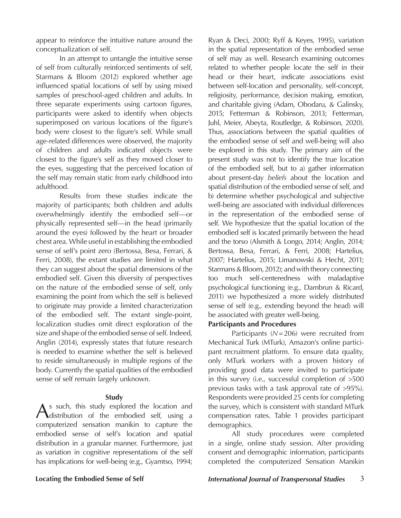appear to reinforce the intuitive nature around the conceptualization of self.

In an attempt to untangle the intuitive sense of self from culturally reinforced sentiments of self, Starmans & Bloom (2012) explored whether age influenced spatial locations of self by using mixed samples of preschool-aged children and adults. In three separate experiments using cartoon figures, participants were asked to identify when objects superimposed on various locations of the figure's body were closest to the figure's self. While small age-related differences were observed, the majority of children and adults indicated objects were closest to the figure's self as they moved closer to the eyes, suggesting that the perceived location of the self may remain static from early childhood into adulthood.

Results from these studies indicate the majority of participants; both children and adults overwhelmingly identify the embodied self—or physically represented self—in the head (primarily around the eyes) followed by the heart or broader chest area. While useful in establishing the embodied sense of self's point zero (Bertossa, Besa, Ferrari, & Ferri, 2008), the extant studies are limited in what they can suggest about the spatial dimensions of the embodied self. Given this diversity of perspectives on the nature of the embodied sense of self, only examining the point from which the self is believed to originate may provide a limited characterization of the embodied self. The extant single-point, localization studies omit direct exploration of the size and shape of the embodied sense of self. Indeed, Anglin (2014), expressly states that future research is needed to examine whether the self is believed to reside simultaneously in multiple regions of the body. Currently the spatial qualities of the embodied sense of self remain largely unknown.

#### **Study**

As such, this study explored the location and distribution of the embodied self, using a computerized sensation manikin to capture the embodied sense of self's location and spatial distribution in a granular manner. Furthermore, just as variation in cognitive representations of the self has implications for well-being (e.g., Gyamtso, 1994;

Ryan & Deci, 2000; Ryff & Keyes, 1995), variation in the spatial representation of the embodied sense of self may as well. Research examining outcomes related to whether people locate the self in their head or their heart, indicate associations exist between self-location and personality, self-concept, religiosity, performance, decision making, emotion, and charitable giving (Adam, Obodaru, & Galinsky, 2015; Fetterman & Robinson, 2013; Fetterman, Juhl, Meier, Abeyta, Routledge, & Robinson, 2020). Thus, associations between the spatial qualities of the embodied sense of self and well-being will also be explored in this study. The primary aim of the present study was not to identify the true location of the embodied self, but to a) gather information about present-day *beliefs* about the location and spatial distribution of the embodied sense of self, and b) determine whether psychological and subjective well-being are associated with individual differences in the representation of the embodied sense of self. We hypothesize that the spatial location of the embodied self is located primarily between the head and the torso (Alsmith & Longo, 2014; Anglin, 2014; Bertossa, Besa, Ferrari, & Ferri, 2008; Hartelius, 2007; Hartelius, 2015; Limanowski & Hecht, 2011; Starmans & Bloom, 2012); and with theory connecting too much self-centeredness with maladaptive psychological functioning (e.g., Dambrun & Ricard, 2011) we hypothesized a more widely distributed sense of self (e.g., extending beyond the head) will be associated with greater well-being.

#### **Participants and Procedures**

Participants (*N*=206) were recruited from Mechanical Turk (MTurk), Amazon's online participant recruitment platform. To ensure data quality, only MTurk workers with a proven history of providing good data were invited to participate in this survey (i.e., successful completion of >500 previous tasks with a task approval rate of >95%). Respondents were provided 25 cents for completing the survey, which is consistent with standard MTurk compensation rates. Table 1 provides participant demographics.

All study procedures were completed in a single, online study session. After providing consent and demographic information, participants completed the computerized Sensation Manikin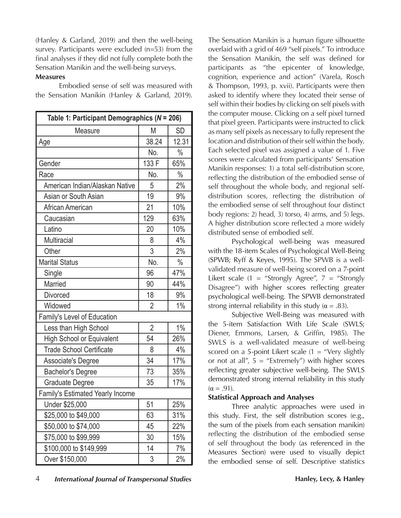(Hanley & Garland, 2019) and then the well-being survey. Participants were excluded (n=53) from the final analyses if they did not fully complete both the Sensation Manikin and the well-being surveys.

#### **Measures**

Embodied sense of self was measured with the Sensation Manikin (Hanley & Garland, 2019).

| Table 1: Participant Demographics ( $N = 206$ ) |                |               |  |  |  |  |  |
|-------------------------------------------------|----------------|---------------|--|--|--|--|--|
| Measure                                         | Μ              | SD            |  |  |  |  |  |
| Age                                             | 38.24          | 12.31         |  |  |  |  |  |
|                                                 | No.            | $\frac{0}{0}$ |  |  |  |  |  |
| Gender                                          | 133 F          | 65%           |  |  |  |  |  |
| Race                                            | No.            | $\frac{0}{0}$ |  |  |  |  |  |
| American Indian/Alaskan Native                  | 5              | 2%            |  |  |  |  |  |
| Asian or South Asian                            | 19             | 9%            |  |  |  |  |  |
| African American                                | 21             | 10%           |  |  |  |  |  |
| Caucasian                                       | 129            | 63%           |  |  |  |  |  |
| Latino                                          | 20             | 10%           |  |  |  |  |  |
| Multiracial                                     | 8              | 4%            |  |  |  |  |  |
| Other                                           | 3              | 2%            |  |  |  |  |  |
| <b>Marital Status</b>                           | No.            | $\%$          |  |  |  |  |  |
| Single                                          | 96             | 47%           |  |  |  |  |  |
| Married                                         | 90             | 44%           |  |  |  |  |  |
| <b>Divorced</b>                                 | 18             | 9%            |  |  |  |  |  |
| Widowed                                         | $\overline{2}$ | 1%            |  |  |  |  |  |
| Family's Level of Education                     |                |               |  |  |  |  |  |
| Less than High School                           | $\overline{2}$ | 1%            |  |  |  |  |  |
| <b>High School or Equivalent</b>                | 54             | 26%           |  |  |  |  |  |
| <b>Trade School Certificate</b>                 | 8              | 4%            |  |  |  |  |  |
| Associate's Degree                              | 34             | 17%           |  |  |  |  |  |
| <b>Bachelor's Degree</b>                        | 73             | 35%           |  |  |  |  |  |
| Graduate Degree                                 | 35             | 17%           |  |  |  |  |  |
| Family's Estimated Yearly Income                |                |               |  |  |  |  |  |
| Under \$25,000                                  | 51             | 25%           |  |  |  |  |  |
| \$25,000 to \$49,000                            | 63             | 31%           |  |  |  |  |  |
| \$50,000 to \$74,000                            | 45             | 22%           |  |  |  |  |  |
| \$75,000 to \$99,999                            | 30             | 15%           |  |  |  |  |  |
| \$100,000 to \$149,999                          | 14             | 7%            |  |  |  |  |  |
| Over \$150,000                                  | 3              | 2%            |  |  |  |  |  |

The Sensation Manikin is a human figure silhouette overlaid with a grid of 469 "self pixels." To introduce the Sensation Manikin, the self was defined for participants as "the epicenter of knowledge, cognition, experience and action" (Varela, Rosch & Thompson, 1993, p. xvii). Participants were then asked to identify where they located their sense of self within their bodies by clicking on self pixels with the computer mouse. Clicking on a self pixel turned that pixel green. Participants were instructed to click as many self pixels as necessary to fully represent the location and distribution of their self within the body. Each selected pixel was assigned a value of 1. Five scores were calculated from participants' Sensation Manikin responses: 1) a total self-distribution score, reflecting the distribution of the embodied sense of self throughout the whole body, and regional selfdistribution scores, reflecting the distribution of the embodied sense of self throughout four distinct body regions: 2) head, 3) torso, 4) arms, and 5) legs. A higher distribution score reflected a more widely distributed sense of embodied self.

Psychological well-being was measured with the 18-item Scales of Psychological Well-Being (SPWB; Ryff & Keyes, 1995). The SPWB is a wellvalidated measure of well-being scored on a 7-point Likert scale  $(1 =$  "Strongly Agree",  $7 =$  "Strongly Disagree") with higher scores reflecting greater psychological well-being. The SPWB demonstrated strong internal reliability in this study ( $\alpha = .83$ ).

Subjective Well-Being was measured with the 5-item Satisfaction With Life Scale (SWLS; Diener, Emmons, Larsen, & Griffin, 1985). The SWLS is a well-validated measure of well-being scored on a 5-point Likert scale  $(1 =$  "Very slightly or not at all",  $5 =$  "Extremely") with higher scores reflecting greater subjective well-being. The SWLS demonstrated strong internal reliability in this study  $(\alpha = .91)$ .

### **Statistical Approach and Analyses**

Three analytic approaches were used in this study. First, the self distribution scores (e.g., the sum of the pixels from each sensation manikin) reflecting the distribution of the embodied sense of self throughout the body (as referenced in the Measures Section) were used to visually depict the embodied sense of self. Descriptive statistics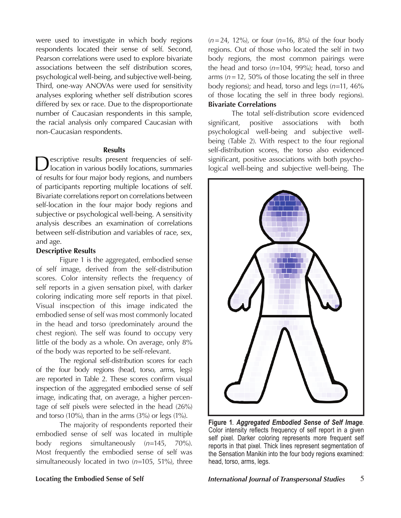were used to investigate in which body regions respondents located their sense of self. Second, Pearson correlations were used to explore bivariate associations between the self distribution scores, psychological well-being, and subjective well-being. Third, one-way ANOVAs were used for sensitivity analyses exploring whether self distribution scores differed by sex or race. Due to the disproportionate number of Caucasian respondents in this sample, the racial analysis only compared Caucasian with non-Caucasian respondents.

#### **Results**

Descriptive results present frequencies of self-location in various bodily locations, summaries of results for four major body regions, and numbers of participants reporting multiple locations of self. Bivariate correlations report on correlations between self-location in the four major body regions and subjective or psychological well-being. A sensitivity analysis describes an examination of correlations between self-distribution and variables of race, sex, and age.

#### **Descriptive Results**

Figure 1 is the aggregated, embodied sense of self image, derived from the self-distribution scores. Color intensity reflects the frequency of self reports in a given sensation pixel, with darker coloring indicating more self reports in that pixel. Visual inscpection of this image indicated the embodied sense of self was most commonly located in the head and torso (predominately around the chest region). The self was found to occupy very little of the body as a whole. On average, only 8% of the body was reported to be self-relevant.

The regional self-distribution scores for each of the four body regions (head, torso, arms, legs) are reported in Table 2. These scores confirm visual inspection of the aggregated embodied sense of self image, indicating that, on average, a higher percentage of self pixels were selected in the head (26%) and torso (10%), than in the arms (3%) or legs (1%).

The majority of respondents reported their embodied sense of self was located in multiple body regions simultaneously (*n*=145, 70%). Most frequently the embodied sense of self was simultaneously located in two (*n*=105, 51%), three

(*n*=24, 12%), or four (*n*=16, 8%) of the four body regions. Out of those who located the self in two body regions, the most common pairings were the head and torso (*n*=104, 99%); head, torso and arms  $(n=12, 50\%$  of those locating the self in three body regions); and head, torso and legs (*n*=11, 46% of those locating the self in three body regions). **Bivariate Correlations**

The total self-distribution score evidenced significant, positive associations with both psychological well-being and subjective wellbeing (Table 2). With respect to the four regional self-distribution scores, the torso also evidenced significant, positive associations with both psychological well-being and subjective well-being. The



**Figure 1**. *Aggregated Embodied Sense of Self Image*. Color intensity reflects frequency of self report in a given self pixel. Darker coloring represents more frequent self reports in that pixel. Thick lines represent segmentation of the Sensation Manikin into the four body regions examined: head, torso, arms, legs.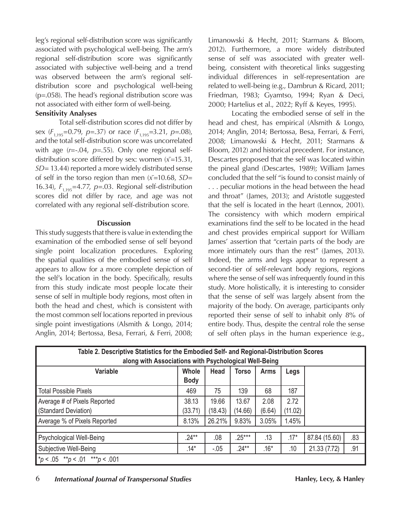leg's regional self-distribution score was significantly associated with psychological well-being. The arm's regional self-distribution score was significantly associated with subjective well-being and a trend was observed between the arm's regional selfdistribution score and psychological well-being (p=.058). The head's regional distribution score was not associated with either form of well-being.

### **Sensitivity Analyses**

Total self-distribution scores did not differ by sex ( $F_{1,195}$ =0.79, *p*=.37) or race ( $F_{1,195}$ =3.21, *p*=.08), and the total self-distribution score was uncorrelated with age (*r*=-.04, *p*=.55). Only one regional selfdistribution score differed by sex: women (*x̄*=15.31, *SD*= 13.44) reported a more widely distributed sense of self in the torso region than men (*x̄*=10.68, *SD*= 16.34), *F*1,195=4.77, *p*=.03. Regional self-distribution scores did not differ by race, and age was not correlated with any regional self-distribution score.

#### **Discussion**

This study suggests that there is value in extending the examination of the embodied sense of self beyond single point localization procedures. Exploring the spatial qualities of the embodied sense of self appears to allow for a more complete depiction of the self's location in the body. Specifically, results from this study indicate most people locate their sense of self in multiple body regions, most often in both the head and chest, which is consistent with the most common self locations reported in previous single point investigations (Alsmith & Longo, 2014; Anglin, 2014; Bertossa, Besa, Ferrari, & Ferri, 2008;

Limanowski & Hecht, 2011; Starmans & Bloom, 2012). Furthermore, a more widely distributed sense of self was associated with greater wellbeing, consistent with theoretical links suggesting individual differences in self-representation are related to well-being (e.g., Dambrun & Ricard, 2011; Friedman, 1983; Gyamtso, 1994; Ryan & Deci, 2000; Hartelius et al., 2022; Ryff & Keyes, 1995).

Locating the embodied sense of self in the head and chest, has empirical (Alsmith & Longo, 2014; Anglin, 2014; Bertossa, Besa, Ferrari, & Ferri, 2008; Limanowski & Hecht, 2011; Starmans & Bloom, 2012) and historical precedent. For instance, Descartes proposed that the self was located within the pineal gland (Descartes, 1989); William James concluded that the self "is found to consist mainly of . . . peculiar motions in the head between the head and throat" (James, 2013); and Aristotle suggested that the self is located in the heart (Lennox, 2001). The consistency with which modern empirical examinations find the self to be located in the head and chest provides empirical support for William James' assertion that "certain parts of the body are more intimately ours than the rest" (James, 2013). Indeed, the arms and legs appear to represent a second-tier of self-relevant body regions, regions where the sense of self was infrequently found in this study. More holistically, it is interesting to consider that the sense of self was largely absent from the majority of the body. On average, participants only reported their sense of self to inhabit only 8% of entire body. Thus, despite the central role the sense of self often plays in the human experience (e.g.,

| Table 2. Descriptive Statistics for the Embodied Self- and Regional-Distribution Scores<br>along with Associations with Psychological Well-Being |                      |                  |                  |                |                 |               |     |  |
|--------------------------------------------------------------------------------------------------------------------------------------------------|----------------------|------------------|------------------|----------------|-----------------|---------------|-----|--|
| Variable                                                                                                                                         | Whole<br><b>Body</b> | <b>Head</b>      | <b>Torso</b>     | <b>Arms</b>    | Legs            |               |     |  |
| Total Possible Pixels                                                                                                                            | 469                  | 75               | 139              | 68             | 187             |               |     |  |
| Average # of Pixels Reported<br>(Standard Deviation)                                                                                             | 38.13<br>(33.71)     | 19.66<br>(18.43) | 13.67<br>(14.66) | 2.08<br>(6.64) | 2.72<br>(11.02) |               |     |  |
| Average % of Pixels Reported                                                                                                                     | 8.13%                | 26.21%           | 9.83%            | 3.05%          | 1.45%           |               |     |  |
|                                                                                                                                                  |                      |                  |                  |                |                 |               |     |  |
| Psychological Well-Being                                                                                                                         | $.24***$             | .08              | $.25***$         | .13            | $.17*$          | 87.84 (15.60) | .83 |  |
| Subjective Well-Being                                                                                                                            | $.14*$               | $-.05$           | $.24***$         | $.16*$         | .10             | 21.33 (7.72)  | .91 |  |
| $\mid$ *p < .05 **p < .01 ***p < .001                                                                                                            |                      |                  |                  |                |                 |               |     |  |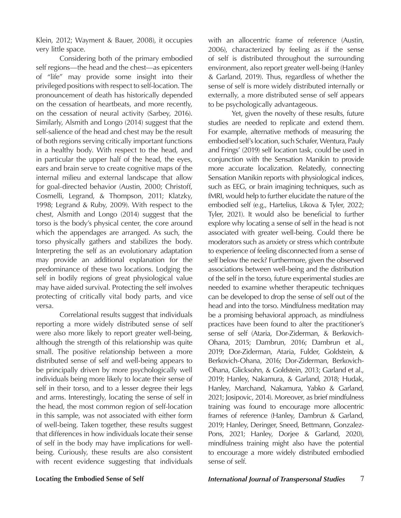Klein, 2012; Wayment & Bauer, 2008), it occupies very little space.

Considering both of the primary embodied self regions—the head and the chest—as epicenters of "life" may provide some insight into their privileged positions with respect to self-location. The pronouncement of death has historically depended on the cessation of heartbeats, and more recently, on the cessation of neural activity (Sarbey, 2016). Similarly, Alsmith and Longo (2014) suggest that the self-salience of the head and chest may be the result of both regions serving critically important functions in a healthy body. With respect to the head, and in particular the upper half of the head, the eyes, ears and brain serve to create cognitive maps of the internal milieu and external landscape that allow for goal-directed behavior (Austin, 2000; Christoff, Cosmelli, Legrand, & Thompson, 2011; Klatzky, 1998; Legrand & Ruby, 2009). With respect to the chest, Alsmith and Longo (2014) suggest that the torso is the body's physical center, the core around which the appendages are arranged. As such, the torso physically gathers and stabilizes the body. Interpreting the self as an evolutionary adaptation may provide an additional explanation for the predominance of these two locations. Lodging the self in bodily regions of great physiological value may have aided survival. Protecting the self involves protecting of critically vital body parts, and vice versa.

Correlational results suggest that individuals reporting a more widely distributed sense of self were also more likely to report greater well-being, although the strength of this relationship was quite small. The positive relationship between a more distributed sense of self and well-being appears to be principally driven by more psychologically well individuals being more likely to locate their sense of self in their torso, and to a lesser degree their legs and arms. Interestingly, locating the sense of self in the head, the most common region of self-location in this sample, was not associated with either form of well-being. Taken together, these results suggest that differences in how individuals locate their sense of self in the body may have implications for wellbeing. Curiously, these results are also consistent with recent evidence suggesting that individuals

with an allocentric frame of reference (Austin, 2006), characterized by feeling as if the sense of self is distributed throughout the surrounding environment, also report greater well-being (Hanley & Garland, 2019). Thus, regardless of whether the sense of self is more widely distributed internally or externally, a more distributed sense of self appears to be psychologically advantageous.

Yet, given the novelty of these results, future studies are needed to replicate and extend them. For example, alternative methods of measuring the embodied self's location, such Schafer, Wentura, Pauly and Frings' (2019) self location task, could be used in conjunction with the Sensation Manikin to provide more accurate localization. Relatedly, connecting Sensation Manikin reports with physiological indices, such as EEG, or brain imagining techniques, such as fMRI, would help to further elucidate the nature of the embodied self (e.g., Hartelius, Likova & Tyler, 2022; Tyler, 2021). It would also be beneficial to further explore why locating a sense of self in the head is not associated with greater well-being. Could there be moderators such as anxiety or stress which contribute to experience of feeling disconnected from a sense of self below the neck? Furthermore, given the observed associations between well-being and the distribution of the self in the torso, future experimental studies are needed to examine whether therapeutic techniques can be developed to drop the sense of self out of the head and into the torso. Mindfulness meditation may be a promising behavioral approach, as mindfulness practices have been found to alter the practitioner's sense of self (Ataria, Dor-Ziderman, & Berkovich-Ohana, 2015; Dambrun, 2016; Dambrun et al., 2019; Dor-Ziderman, Ataria, Fulder, Goldstein, & Berkovich-Ohana, 2016; Dor-Ziderman, Berkovich-Ohana, Glicksohn, & Goldstein, 2013; Garland et al., 2019; Hanley, Nakamura, & Garland, 2018; Hudak, Hanley, Marchand, Nakamura, Yabko & Garland, 2021; Josipovic, 2014). Moreover, as brief mindfulness training was found to encourage more allocentric frames of reference (Hanley, Dambrun & Garland, 2019; Hanley, Deringer, Sneed, Bettmann, Gonzalez-Pons, 2021; Hanley, Dorjee & Garland, 2020), mindfulness training might also have the potential to encourage a more widely distributed embodied sense of self.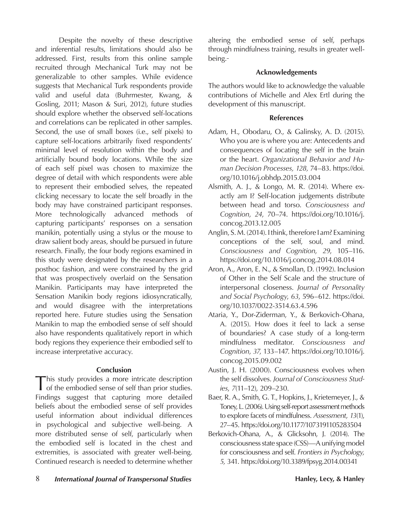Despite the novelty of these descriptive and inferential results, limitations should also be addressed. First, results from this online sample recruited through Mechanical Turk may not be generalizable to other samples. While evidence suggests that Mechanical Turk respondents provide valid and useful data (Buhrmester, Kwang, & Gosling, 2011; Mason & Suri, 2012), future studies should explore whether the observed self-locations and correlations can be replicated in other samples. Second, the use of small boxes (i.e., self pixels) to capture self-locations arbitrarily fixed respondents' minimal level of resolution within the body and artificially bound body locations. While the size of each self pixel was chosen to maximize the degree of detail with which respondents were able to represent their embodied selves, the repeated clicking necessary to locate the self broadly in the body may have constrained participant responses. More technologically advanced methods of capturing participants' responses on a sensation manikin, potentially using a stylus or the mouse to draw salient body areas, should be pursued in future research. Finally, the four body regions examined in this study were designated by the researchers in a posthoc fashion, and were constrained by the grid that was prospectively overlaid on the Sensation Manikin. Participants may have interpreted the Sensation Manikin body regions idiosyncratically, and would disagree with the interpretations reported here. Future studies using the Sensation Manikin to map the embodied sense of self should also have respondents qualitatively report in which body regions they experience their embodied self to increase interpretative accuracy.

#### **Conclusion**

This study provides a more intricate description of the embodied sense of self than prior studies. Findings suggest that capturing more detailed beliefs about the embodied sense of self provides useful information about individual differences in psychological and subjective well-being. A more distributed sense of self, particularly when the embodied self is located in the chest and extremities, is associated with greater well-being. Continued research is needed to determine whether

altering the embodied sense of self, perhaps through mindfulness training, results in greater wellbeing.

#### **Acknowledgements**

The authors would like to acknowledge the valuable contributions of Michelle and Alex Ertl during the development of this manuscript.

### **References**

- Adam, H., Obodaru, O., & Galinsky, A. D. (2015). Who you are is where you are: Antecedents and consequences of locating the self in the brain or the heart. *Organizational Behavior and Human Decision Processes, 128,* 74–83. https://doi. org/10.1016/j.obhdp.2015.03.004
- Alsmith, A. J., & Longo, M. R. (2014). Where exactly am I? Self-location judgements distribute between head and torso. *Consciousness and Cognition*, *24*, 70–74. https://doi.org/10.1016/j. concog.2013.12.005
- Anglin, S. M. (2014). I think, therefore I am? Examining conceptions of the self, soul, and mind. *Consciousness and Cognition*, *29*, 105–116. https://doi.org/10.1016/j.concog.2014.08.014
- Aron, A., Aron, E. N., & Smollan, D. (1992). Inclusion of Other in the Self Scale and the structure of interpersonal closeness. *Journal of Personality and Social Psychology*, *63*, 596–612. https://doi. org/10.1037/0022-3514.63.4.596
- Ataria, Y., Dor-Ziderman, Y., & Berkovich-Ohana, A. (2015). How does it feel to lack a sense of boundaries? A case study of a long-term mindfulness meditator. *Consciousness and Cognition*, *37*, 133–147. https://doi.org/10.1016/j. concog.2015.09.002
- Austin, J. H. (2000). Consciousness evolves when the self dissolves. *Journal of Consciousness Studies*, *7*(11–12), 209–230.
- Baer, R. A., Smith, G. T., Hopkins, J., Krietemeyer, J., & Toney, L. (2006). Using self-report assessment methods to explore facets of mindfulness. *Assessment*, *13*(1), 27–45. https://doi.org/10.1177/1073191105283504
- Berkovich-Ohana, A., & Glicksohn, J. (2014). The consciousness state space (CSS)—A unifying model for consciousness and self. *Frontiers in Psychology, 5,* 341. https://doi.org/10.3389/fpsyg.2014.00341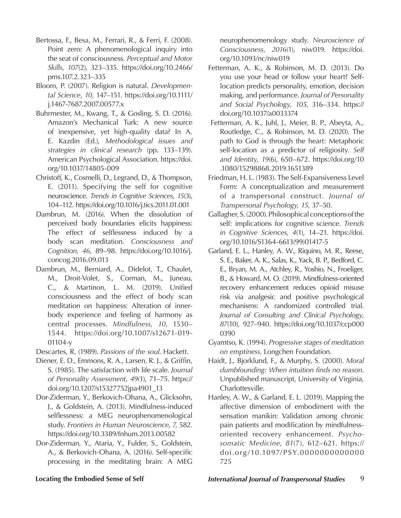- Bertossa, F., Besa, M., Ferrari, R., & Ferri, F. (2008). Point zero: A phenomenological inquiry into the seat of consciousness. *Perceptual and Motor Skills*, *107*(2), 323–335. https://doi.org/10.2466/ pms.107.2.323–335
- Bloom, P. (2007). Religion is natural. *Developmental Science, 10,* 147–151. https://doi.org/10.1111/ j.1467-7687.2007.00577.x
- Buhrmester, M., Kwang, T., & Gosling, S. D. (2016). Amazon's Mechanical Turk: A new source of inexpensive, yet high-quality data? In A. E. Kazdin (Ed.), *Methodological issues and strategies in clinical research* (pp. 133–139). American Psychological Association. https://doi. org/10.1037/14805-009
- Christoff, K., Cosmelli, D., Legrand, D., & Thompson, E. (2011). Specifying the self for cognitive neuroscience. *Trends in Cognitive Sciences*, *15*(3), 104–112. https://doi.org/10.1016/j.tics.2011.01.001
- Dambrun, M. (2016). When the dissolution of perceived body boundaries elicits happiness: The effect of selflessness induced by a body scan meditation. *Consciousness and Cognition*, *46*, 89–98. https://doi.org/10.1016/j. concog.2016.09.013
- Dambrun, M., Berniard, A., Didelot, T., Chaulet, M., Droit-Volet, S., Corman, M., Juneau, C., & Martinon, L. M. (2019). Unified consciousness and the effect of body scan meditation on happiness: Alteration of innerbody experience and feeling of harmony as central processes. *Mindfulness, 10*, 1530– 1544. https://doi.org/10.1007/s12671-019- 01104-y
- Descartes, R. (1989). *Passions of the soul*. Hackett.
- Diener, E. D., Emmons, R. A., Larsen, R. J., & Griffin, S. (1985). The satisfaction with life scale. *Journal of Personality Assessment*, *49*(1), 71–75. https:// doi.org/10.1207/s15327752jpa4901\_13
- Dor-Ziderman, Y., Berkovich-Ohana, A., Glicksohn, J., & Goldstein, A. (2013). Mindfulness-induced selflessness: a MEG neurophenomenological study. *Frontiers in Human Neuroscience*, *7*, 582. https://doi.org/10.3389/fnhum.2013.00582
- Dor-Ziderman, Y., Ataria, Y., Fulder, S., Goldstein, A., & Berkovich-Ohana, A. (2016). Self-specific processing in the meditating brain: A MEG

neurophenomenology study. *Neuroscience of Consciousness*, *2016*(1), niw019. https://doi. org/10.1093/nc/niw019

- Fetterman, A. K., & Robinson, M. D. (2013). Do you use your head or follow your heart? Selflocation predicts personality, emotion, decision making, and performance. *Journal of Personality and Social Psychology, 105*, 316–334. https:// doi.org/10.1037/a0033374
- Fetterman, A. K., Juhl, J., Meier, B. P., Abeyta, A., Routledge, C., & Robinson, M. D. (2020). The path to God is through the heart: Metaphoric self-location as a predictor of religiosity. *Self and Identity*, *19*(6), 650–672. https://doi.org/10 .1080/15298868.2019.1651389
- Friedman, H. L. (1983). The Self-Expansiveness Level Form: A conceptualization and measurement of a transpersonal construct. *Journal of Transpersonal Psychology, 15*, 37–50.
- Gallagher, S. (2000). Philosophical conceptions of the self: implications for cognitive science. *Trends in Cognitive Sciences*, *4*(1), 14–21. https://doi. org/10.1016/S1364-6613(99)01417-5
- Garland, E. L., Hanley, A. W., Riquino, M. R., Reese, S. E., Baker, A. K., Salas, K., Yack, B. P., Bedford, C. E., Bryan, M. A., Atchley, R., Yoshio, N., Froeliger, B., & Howard, M. O. (2019). Mindfulness-oriented recovery enhancement reduces opioid misuse risk via analgesic and positive psychological mechanisms: A randomized controlled trial. *Journal of Consulting and Clinical Psychology*, *87*(10), 927–940. https://doi.org/10.1037/ccp000 0390
- Gyamtso, K. (1994). *Progressive stages of meditation on emptiness*. Longchen Foundation.
- Haidt, J., Bjorklund, F., & Murphy, S. (2000). *Moral dumbfounding: When intuition finds no reason*. Unpublished manuscript, University of Virginia, Charlottesville.
- Hanley, A. W., & Garland, E. L. (2019). Mapping the affective dimension of embodiment with the sensation manikin: Validation among chronic pain patients and modification by mindfulnessoriented recovery enhancement. *Psychosomatic Medicine*, *81*(7), 612–621. https:// doi.org/10.1097/PSY.0000000000000 725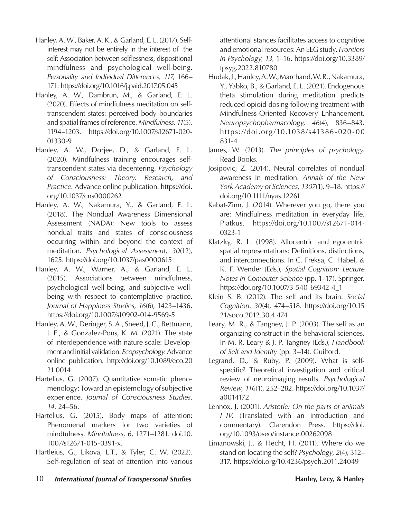- Hanley, A. W., Baker, A. K., & Garland, E. L. (2017). Selfinterest may not be entirely in the interest of the self: Association between selflessness, dispositional mindfulness and psychological well-being. *Personality and Individual Differences, 117*, 166– 171. https://doi.org/10.1016/j.paid.2017.05.045
- Hanley, A. W., Dambrun, M., & Garland, E. L. (2020). Effects of mindfulness meditation on selftranscendent states: perceived body boundaries and spatial frames of reference. *Mindfulness*, *11*(5), 1194–1203. https://doi.org/10.1007/s12671-020- 01330-9
- Hanley, A. W., Dorjee, D., & Garland, E. L. (2020). Mindfulness training encourages selftranscendent states via decentering. *Psychology of Consciousness: Theory, Research, and Practice.* Advance online publication. https://doi. org/10.1037/cns0000262
- Hanley, A. W., Nakamura, Y., & Garland, E. L. (2018). The Nondual Awareness Dimensional Assessment (NADA): New tools to assess nondual traits and states of consciousness occurring within and beyond the context of meditation. *Psychological Assessment*, *30*(12), 1625. https://doi.org/10.1037/pas0000615
- Hanley, A. W., Warner, A., & Garland, E. L. (2015). Associations between mindfulness, psychological well-being, and subjective wellbeing with respect to contemplative practice. *Journal of Happiness Studies*, *16*(6), 1423–1436. https://doi.org/10.1007/s10902-014-9569-5
- Hanley, A. W., Deringer, S. A., Sneed, J. C., Bettmann, J. E., & Gonzalez-Pons, K. M. (2021). The state of interdependence with nature scale: Development and initial validation. *Ecopsychology*. Advance online publication. http://doi.org/10.1089/eco.20 21.0014
- Hartelius, G. (2007). Quantitative somatic phenomenology: Toward an epistemology of subjective experience. *Journal of Consciousness Studies*, *14*, 24–56.
- Hartelius, G. (2015). Body maps of attention: Phenomenal markers for two varieties of mindfulness. *Mindfulness*, *6*, 1271–1281. doi.10. 1007/s12671-015-0391-x.
- Hartleius, G., Likova, L.T., & Tyler, C. W. (2022). Self-regulation of seat of attention into various

attentional stances facilitates access to cognitive and emotional resources: An EEG study. *Frontiers in Psychology, 13,* 1–16. https://doi.org/10.3389/ fpsyg.2022.810780

- Hudak, J., Hanley, A. W., Marchand, W. R., Nakamura, Y., Yabko, B., & Garland, E. L. (2021). Endogenous theta stimulation during meditation predicts reduced opioid dosing following treatment with Mindfulness-Oriented Recovery Enhancement. *Neuropsychopharmacology*, *46*(4), 836–843. https://doi.org/10.1038/s41386-020-00 831-4
- James, W. (2013). *The principles of psychology*. Read Books.
- Josipovic, Z. (2014). Neural correlates of nondual awareness in meditation. *Annals of the New York Academy of Sciences*, *1307*(1), 9–18. https:// doi.org/10.1111/nyas.12261
- Kabat-Zinn, J. (2014). Wherever you go, there you are: Mindfulness meditation in everyday life. Piatkus. https://doi.org/10.1007/s12671-014- 0323-1
- Klatzky, R. L. (1998). Allocentric and egocentric spatial representations: Definitions, distinctions, and interconnections. In C. Freksa, C. Habel, & K. F. Wender (Eds.), *Spatial Cognition: Lecture Notes in Computer Science* (pp. 1–17). Springer. https://doi.org/10.1007/3-540-69342-4\_1
- Klein S. B. (2012). The self and its brain. *Social Cognition*. *30*(4), 474–518. https://doi.org/10.15 21/soco.2012.30.4.474
- Leary, M. R., & Tangney, J. P. (2003). The self as an organizing construct in the behavioral sciences. In M. R. Leary & J. P. Tangney (Eds.), *Handbook of Self and Identity* (pp. 3–14). Guilford.
- Legrand, D., & Ruby, P. (2009). What is selfspecific? Theoretical investigation and critical review of neuroimaging results. *Psychological Review*, *116*(1), 252–282. https://doi.org/10.1037/ a0014172
- Lennox, J. (2001). *Aristotle: On the parts of animals I–IV.* (Translated with an introduction and commentary). Clarendon Press. https://doi. org/10.1093/oseo/instance.00262098
- Limanowski, J., & Hecht, H. (2011). Where do we stand on locating the self? *Psychology*, *2*(4), 312– 317. https://doi.org/10.4236/psych.2011.24049
- 10 *International Journal of Transpersonal Studies* **Hanley, Lecy, & Hanley**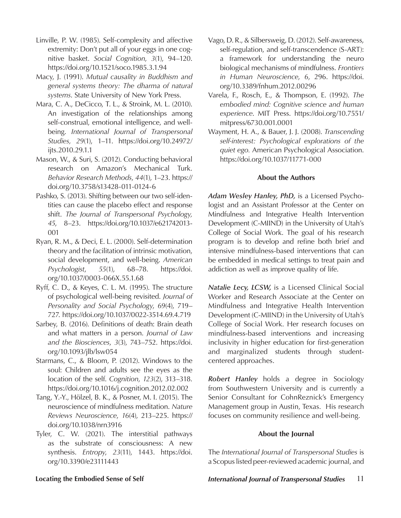- Linville, P. W. (1985). Self-complexity and affective extremity: Don't put all of your eggs in one cognitive basket. *Social Cognition*, *3*(1), 94–120. https://doi.org/10.1521/soco.1985.3.1.94
- Macy, J. (1991). *Mutual causality in Buddhism and general systems theory: The dharma of natural systems*. State University of New York Press.
- Mara, C. A., DeCicco, T. L., & Stroink, M. L. (2010). An investigation of the relationships among self-construal, emotional intelligence, and wellbeing. *International Journal of Transpersonal Studies, 29*(1), 1–11. https://doi.org/10.24972/ ijts.2010.29.1.1
- Mason, W., & Suri, S. (2012). Conducting behavioral research on Amazon's Mechanical Turk. *Behavior Research Methods*, *44*(1), 1–23. https:// doi.org/10.3758/s13428-011-0124-6
- Pashko, S. (2013). Shifting between our two self-identities can cause the placebo effect and response shift. *The Journal of Transpersonal Psychology, 45*, 8–23. https://doi.org/10.1037/e621742013- 001
- Ryan, R. M., & Deci, E. L. (2000). Self-determination theory and the facilitation of intrinsic motivation, social development, and well-being. *American Psychologist*, *55*(1), 68–78. https://doi. org/10.1037/0003-066X.55.1.68
- Ryff, C. D., & Keyes, C. L. M. (1995). The structure of psychological well-being revisited. *Journal of Personality and Social Psychology*, *69*(4), 719– 727. https://doi.org/10.1037/0022-3514.69.4.719
- Sarbey, B. (2016). Definitions of death: Brain death and what matters in a person. *Journal of Law and the Biosciences*, *3*(3), 743–752. https://doi. org/10.1093/jlb/lsw054
- Starmans, C., & Bloom, P. (2012). Windows to the soul: Children and adults see the eyes as the location of the self. *Cognition*, *123*(2), 313–318. https://doi.org/10.1016/j.cognition.2012.02.002
- Tang, Y.-Y., Hölzel, B. K., & Posner, M. I. (2015). The neuroscience of mindfulness meditation. *Nature Reviews Neuroscience*, *16*(4), 213–225. https:// doi.org/10.1038/nrn3916
- Tyler, C. W. (2021). The interstitial pathways as the substrate of consciousness: A new synthesis. *Entropy*, *23*(11), 1443. https://doi. org/10.3390/e23111443
- Vago, D. R., & Silbersweig, D. (2012). Self-awareness, self-regulation, and self-transcendence (S-ART): a framework for understanding the neuro biological mechanisms of mindfulness. *Frontiers in Human Neuroscience*, *6*, 296. https://doi. org/10.3389/fnhum.2012.00296
- Varela, F., Rosch, E., & Thompson, E. (1992). *The embodied mind: Cognitive science and human experience*. MIT Press. https://doi.org/10.7551/ mitpress/6730.001.0001
- Wayment, H. A., & Bauer, J. J. (2008). *Transcending self-interest: Psychological explorations of the quiet ego.* American Psychological Association. https://doi.org/10.1037/11771-000

### **About the Authors**

*Adam Wesley Hanley, PhD,* is a Licensed Psychologist and an Assistant Professor at the Center on Mindfulness and Integrative Health Intervention Development (C-MIIND) in the University of Utah's College of Social Work. The goal of his research program is to develop and refine both brief and intensive mindfulness-based interventions that can be embedded in medical settings to treat pain and addiction as well as improve quality of life.

*Natalie Lecy, LCSW,* is a Licensed Clinical Social Worker and Research Associate at the Center on Mindfulness and Integrative Health Intervention Development (C-MIIND) in the University of Utah's College of Social Work. Her research focuses on mindfulness-based interventions and increasing inclusivity in higher education for first-generation and marginalized students through studentcentered approaches.

*Robert Hanley* holds a degree in Sociology from Southwestern University and is currently a Senior Consultant for CohnReznick's Emergency Management group in Austin, Texas. His research focuses on community resilience and well-being.

#### **About the Journal**

The *International Journal of Transpersonal Studies* is a Scopus listed peer-reviewed academic journal, and